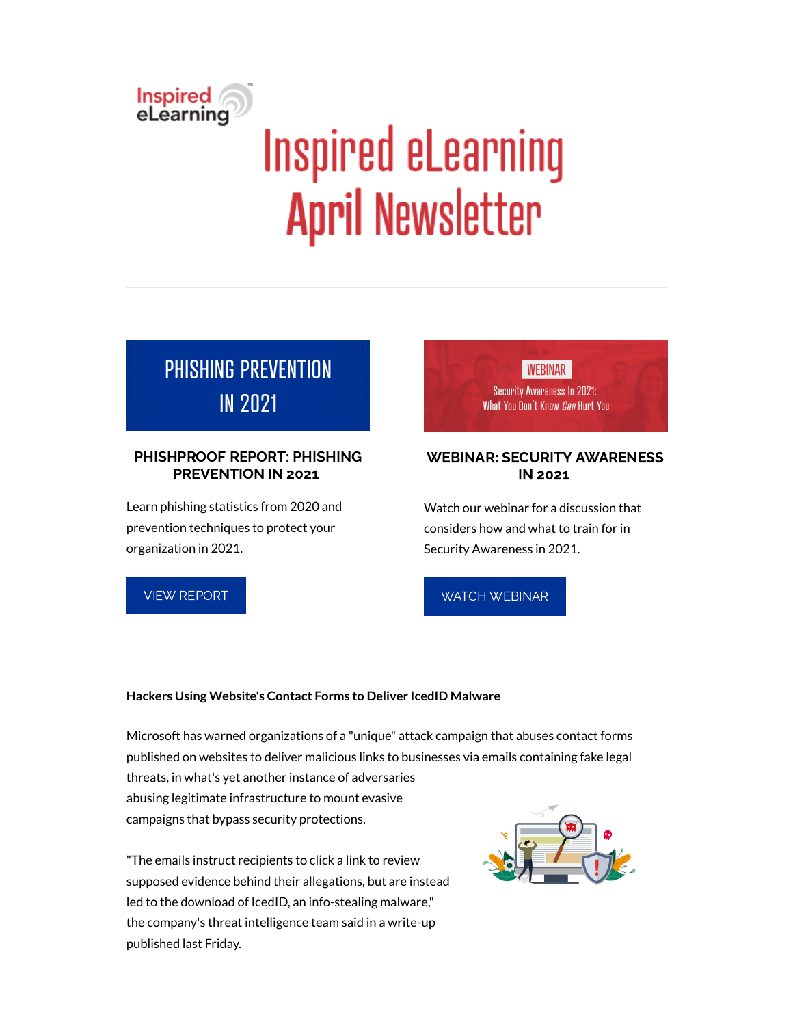

# **Inspired eLearning April Newsletter**

## **PHISHING PREVENTION IN 2021**

#### PHISHPROOF REPORT: PHISHING PREVENTION IN 2021

Learn phishing statistics from 2020 and prevention techniques to protect your organization in 2021.

VIEW [REPORT](https://inspiredelearning.com/resource/phishing-prevention-in-2021/?utm_source=marketo)



#### WEBINAR: SECURITY AWARENESS IN 2021

Watch our webinar for a discussion that considers how and what to train for in Security Awareness in 2021.

WATCH [WEBINAR](https://inspiredelearning.com/resource/webinar-security-awareness-in-2021/?utm_source=marketo)

#### **Hackers Using Website's Contact Forms to Deliver IcedID Malware**

Microsoft has warned organizations of a "unique" attack campaign that abuses contact forms published on websites to deliver malicious links to businesses via emails containing fake legal threats, in what's yet another instance of adversaries abusing legitimate infrastructure to mount evasive campaigns that bypass security protections.

"The emails instruct recipients to click a link to review supposed evidence behind their allegations, but are instead led to the download of IcedID, an info-stealing malware," the company's threat intelligence team said in a write-up published last Friday.

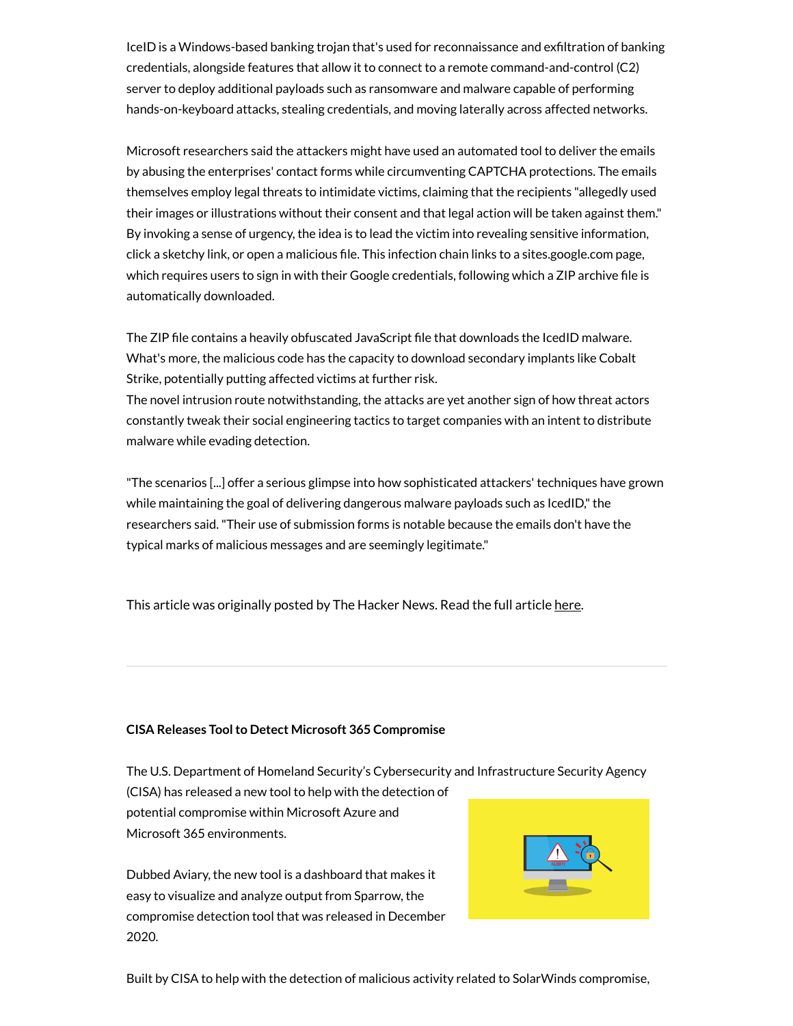IceID is a Windows-based banking trojan that's used for reconnaissance and exfiltration of banking credentials, alongside features that allow it to connect to a remote command-and-control (C2) server to deploy additional payloads such as ransomware and malware capable of performing hands-on-keyboard attacks, stealing credentials, and moving laterally across affected networks.

Microsoft researchers said the attackers might have used an automated tool to deliver the emails by abusing the enterprises' contact forms while circumventing CAPTCHA protections. The emails themselves employ legal threats to intimidate victims, claiming that the recipients "allegedly used their images or illustrations without their consent and that legal action will be taken against them." By invoking a sense of urgency, the idea is to lead the victim into revealing sensitive information, click a sketchy link, or open a malicious file. This infection chain links to a sites.google.com page, which requires users to sign in with their Google credentials, following which a ZIP archive file is automatically downloaded.

The ZIP file contains a heavily obfuscated JavaScript file that downloads the IcedID malware. What's more, the malicious code has the capacity to download secondary implants like Cobalt Strike, potentially putting affected victims at further risk.

The novel intrusion route notwithstanding, the attacks are yet another sign of how threat actors constantly tweak their social engineering tactics to target companies with an intent to distribute malware while evading detection.

"The scenarios [...] offer a serious glimpse into how sophisticated attackers' techniques have grown while maintaining the goal of delivering dangerous malware payloads such as IcedID," the researchers said."Their use of submission forms is notable because the emails don't have the typical marks of malicious messages and are seemingly legitimate."

This article was originally posted by The Hacker News. Read the full article [here.](https://thehackernews.com/2021/04/hackers-using-websites-contact-forms-to.html)

#### **CISA Releases Toolto Detect Microsoft 365 Compromise**

The U.S. Department of Homeland Security's Cybersecurity and Infrastructure Security Agency

(CISA) has released a new tool to help with the detection of potential compromise within Microsoft Azure and Microsoft 365 environments.

Dubbed Aviary, the new tool is a dashboard that makes it easy to visualize and analyze output from Sparrow, the compromise detection tool that was released in December 2020.



Built by CISA to help with the detection of malicious activity related to SolarWinds compromise,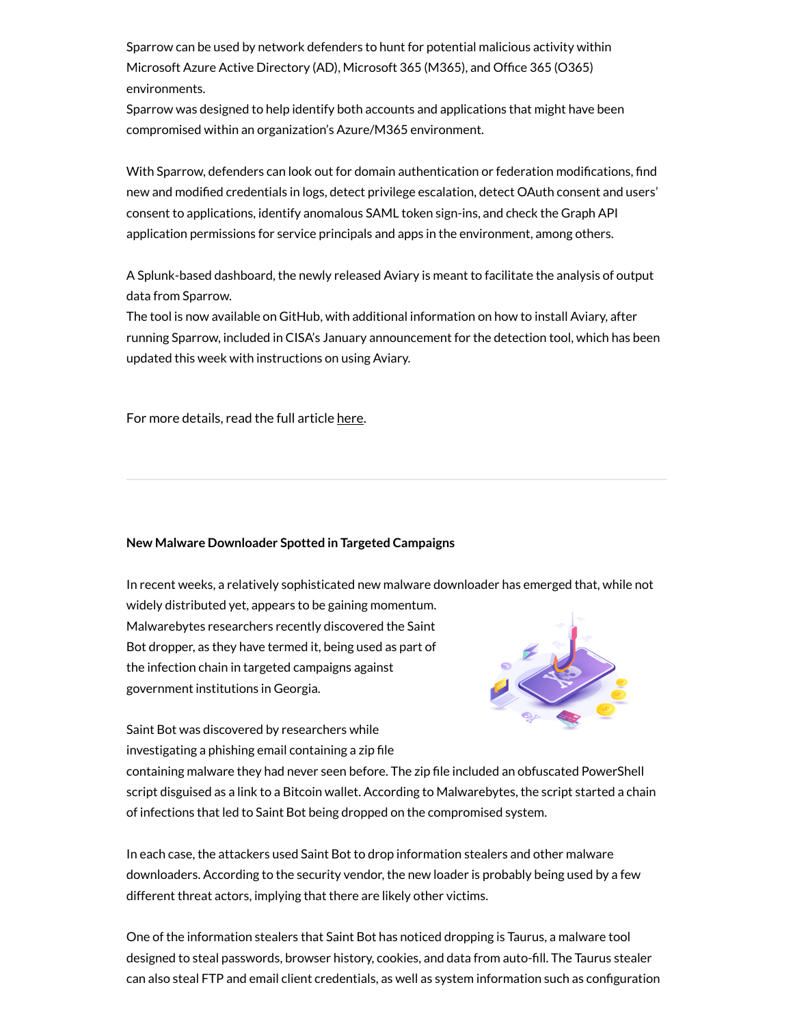Sparrow can be used by network defenders to hunt for potential malicious activity within Microsoft Azure Active Directory (AD), Microsoft 365 (M365), and Office 365 (O365) environments.

Sparrow was designed to help identify both accounts and applications that might have been compromised within an organization's Azure/M365 environment.

With Sparrow, defenders can look out for domain authentication or federation modifications, find new and modified credentials in logs, detect privilege escalation, detect OAuth consent and users' consent to applications, identify anomalous SAML token sign-ins, and check the Graph API application permissions for service principals and apps in the environment, among others.

A Splunk-based dashboard, the newly released Aviary is meant to facilitate the analysis of output data from Sparrow.

The tool is now available on GitHub, with additional information on how to install Aviary, after running Sparrow, included in CISA's January announcement for the detection tool, which has been updated this week with instructions on using Aviary.

For more details, read the full article [here.](https://www.securityweek.com/cisa-releases-tool-detect-microsoft-365-compromise)

#### **New Malware Downloader Spotted in Targeted Campaigns**

In recent weeks, a relatively sophisticated new malware downloader has emerged that, while not

widely distributed yet, appears to be gaining momentum. Malwarebytes researchers recently discovered the Saint Bot dropper, as they have termed it, being used as part of the infection chain in targeted campaigns against government institutions in Georgia.



Saint Bot was discovered by researchers while investigating a phishing email containing a zip file

containing malware they had never seen before. The zip file included an obfuscated PowerShell script disguised as a link to a Bitcoin wallet. According to Malwarebytes, the script started a chain of infections that led to Saint Bot being dropped on the compromised system.

In each case, the attackers used Saint Bot to drop information stealers and other malware downloaders. According to the security vendor, the new loader is probably being used by a few different threat actors, implying that there are likely other victims.

One of the information stealers that Saint Bot has noticed dropping is Taurus, a malware tool designed to steal passwords, browser history, cookies, and data from auto-fill. The Taurus stealer can also steal FTP and email client credentials, as well as system information such as configuration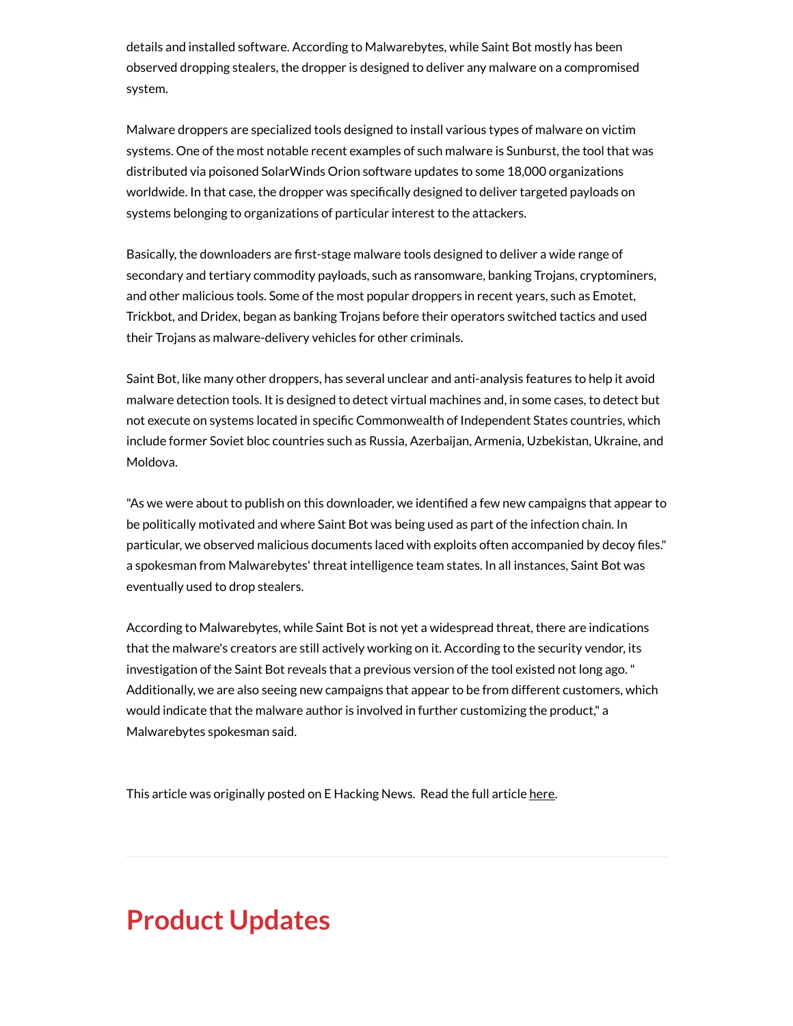details and installed software. According to Malwarebytes, while Saint Bot mostly has been observed dropping stealers, the dropper is designed to deliver any malware on a compromised system.

Malware droppers are specialized tools designed to install various types of malware on victim systems. One of the most notable recent examples of such malware is Sunburst, the tool that was distributed via poisoned SolarWinds Orion software updates to some 18,000 organizations worldwide. In that case, the dropper was specifically designed to deliver targeted payloads on systems belonging to organizations of particular interest to the attackers.

Basically, the downloaders are first-stage malware tools designed to deliver a wide range of secondary and tertiary commodity payloads, such as ransomware, banking Trojans, cryptominers, and other malicious tools. Some of the most popular droppers in recent years, such as Emotet, Trickbot, and Dridex, began as banking Trojans before their operators switched tactics and used their Trojans as malware-delivery vehicles for other criminals.

Saint Bot, like many other droppers, has several unclear and anti-analysis features to help it avoid malware detection tools. It is designed to detect virtual machines and, in some cases, to detect but not execute on systems located in specific Commonwealth of Independent States countries, which include former Soviet bloc countries such as Russia, Azerbaijan, Armenia, Uzbekistan, Ukraine, and Moldova.

"As we were about to publish on this downloader, we identified a few new campaigns that appear to be politically motivated and where Saint Bot was being used as part of the infection chain. In particular, we observed malicious documents laced with exploits often accompanied by decoy files." a spokesman from Malwarebytes' threat intelligence team states. In all instances, Saint Bot was eventually used to drop stealers.

According to Malwarebytes, while Saint Bot is not yet a widespread threat, there are indications that the malware's creators are still actively working on it. According to the security vendor, its investigation of the Saint Bot reveals that a previous version of the tool existed not long ago." Additionally, we are also seeing new campaigns that appear to be from different customers, which would indicate that the malware author is involved in further customizing the product," a Malwarebytes spokesman said.

This article was originally posted on E Hacking News. Read the full article [here](https://www.ehackingnews.com/2021/04/new-malware-downloader-spotted-in.html).

### **Product Updates**